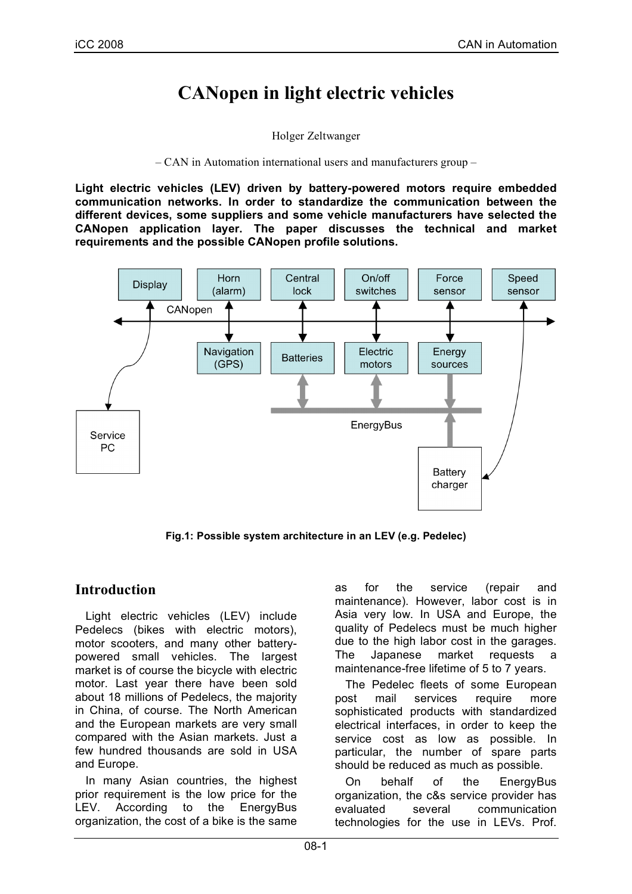# **CANopen in light electric vehicles**

Holger Zeltwanger

– CAN in Automation international users and manufacturers group –

**Light electric vehicles (LEV) driven by battery-powered motors require embedded communication networks. In order to standardize the communication between the different devices, some suppliers and some vehicle manufacturers have selected the CANopen application layer. The paper discusses the technical and market requirements and the possible CANopen profile solutions.**



**Fig.1: Possible system architecture in an LEV (e.g. Pedelec)**

## **Introduction**

Light electric vehicles (LEV) include Pedelecs (bikes with electric motors), motor scooters, and many other batterypowered small vehicles. The largest market is of course the bicycle with electric motor. Last year there have been sold about 18 millions of Pedelecs, the majority in China, of course. The North American and the European markets are very small compared with the Asian markets. Just a few hundred thousands are sold in USA and Europe.

In many Asian countries, the highest prior requirement is the low price for the LEV. According to the EnergyBus organization, the cost of a bike is the same as for the service (repair and maintenance). However, labor cost is in Asia very low. In USA and Europe, the quality of Pedelecs must be much higher due to the high labor cost in the garages. The Japanese market requests maintenance-free lifetime of 5 to 7 years.

The Pedelec fleets of some European post mail services require more sophisticated products with standardized electrical interfaces, in order to keep the service cost as low as possible. In particular, the number of spare parts should be reduced as much as possible.

On behalf of the EnergyBus organization, the c&s service provider has evaluated several communication technologies for the use in LEVs. Prof.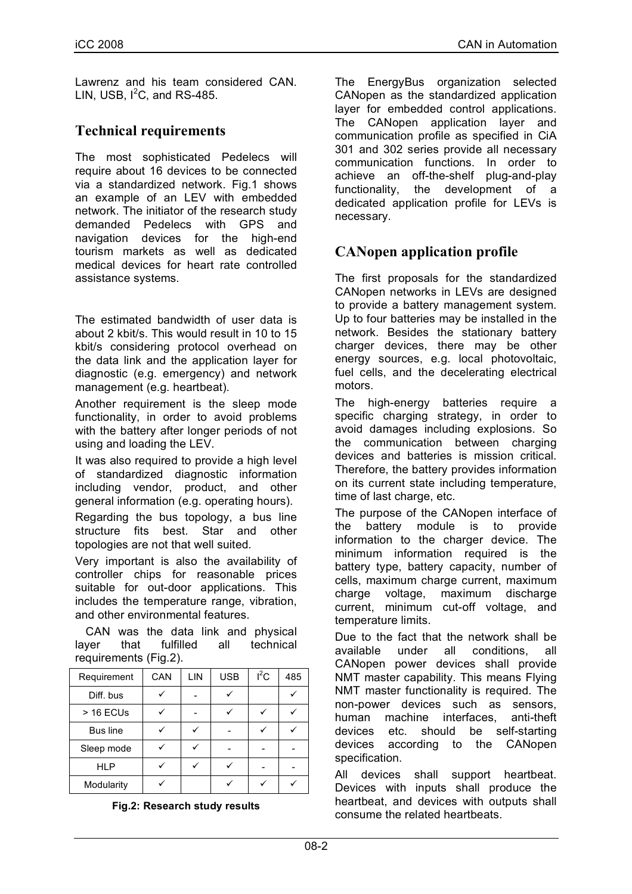Lawrenz and his team considered CAN. LIN, USB,  $I^2C$ , and RS-485.

# **Technical requirements**

The most sophisticated Pedelecs will require about 16 devices to be connected via a standardized network. Fig.1 shows an example of an LEV with embedded network. The initiator of the research study demanded Pedelecs with GPS and navigation devices for the high-end tourism markets as well as dedicated medical devices for heart rate controlled assistance systems.

The estimated bandwidth of user data is about 2 kbit/s. This would result in 10 to 15 kbit/s considering protocol overhead on the data link and the application layer for diagnostic (e.g. emergency) and network management (e.g. heartbeat).

Another requirement is the sleep mode functionality, in order to avoid problems with the battery after longer periods of not using and loading the LEV.

It was also required to provide a high level of standardized diagnostic information including vendor, product, and other general information (e.g. operating hours).

Regarding the bus topology, a bus line structure fits best. Star and other topologies are not that well suited.

Very important is also the availability of controller chips for reasonable prices suitable for out-door applications. This includes the temperature range, vibration, and other environmental features.

CAN was the data link and physical layer that fulfilled all technical requirements (Fig.2).

| Requirement | CAN | LIN | <b>USB</b> | $I^2C$ | 485 |
|-------------|-----|-----|------------|--------|-----|
| Diff. bus   |     |     |            |        |     |
| $>$ 16 ECUs |     |     |            |        |     |
| Bus line    |     |     |            |        |     |
| Sleep mode  |     |     |            |        |     |
| <b>HLP</b>  |     |     |            |        |     |
| Modularity  |     |     |            |        |     |

#### **Fig.2: Research study results**

The EnergyBus organization selected CANopen as the standardized application layer for embedded control applications. The CANopen application layer and communication profile as specified in CiA 301 and 302 series provide all necessary communication functions. In order to achieve an off-the-shelf plug-and-play functionality, the development of a dedicated application profile for LEVs is necessary.

## **CANopen application profile**

The first proposals for the standardized CANopen networks in LEVs are designed to provide a battery management system. Up to four batteries may be installed in the network. Besides the stationary battery charger devices, there may be other energy sources, e.g. local photovoltaic, fuel cells, and the decelerating electrical motors.

The high-energy batteries require a specific charging strategy, in order to avoid damages including explosions. So the communication between charging devices and batteries is mission critical. Therefore, the battery provides information on its current state including temperature, time of last charge, etc.

The purpose of the CANopen interface of the battery module is to provide information to the charger device. The minimum information required is the battery type, battery capacity, number of cells, maximum charge current, maximum charge voltage, maximum discharge current, minimum cut-off voltage, and temperature limits.

Due to the fact that the network shall be available under all conditions, all CANopen power devices shall provide NMT master capability. This means Flying NMT master functionality is required. The non-power devices such as sensors, human machine interfaces, anti-theft devices etc. should be self-starting devices according to the CANopen specification.

All devices shall support heartbeat. Devices with inputs shall produce the heartbeat, and devices with outputs shall consume the related heartbeats.